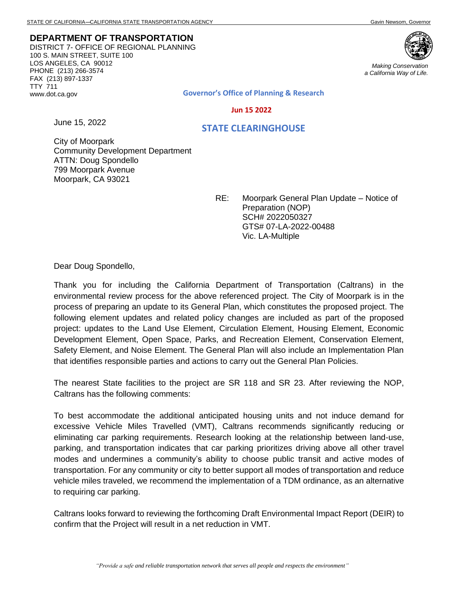**DEPARTMENT OF TRANSPORTATION** DISTRICT 7- OFFICE OF REGIONAL PLANNING 100 S. MAIN STREET, SUITE 100 LOS ANGELES, CA 90012 PHONE (213) 266-3574 FAX (213) 897-1337 TTY 711 www.dot.ca.gov

June 15, 2022



*Making Conservation a California Way of Life.*

**Governor's Office of Planning & Research**

 **Jun 15 2022**

 **STATE CLEARINGHOUSE**

City of Moorpark Community Development Department ATTN: Doug Spondello 799 Moorpark Avenue Moorpark, CA 93021

> RE: Moorpark General Plan Update – Notice of Preparation (NOP) SCH# 2022050327 GTS# 07-LA-2022-00488 Vic. LA-Multiple

Dear Doug Spondello,

Thank you for including the California Department of Transportation (Caltrans) in the environmental review process for the above referenced project. The City of Moorpark is in the process of preparing an update to its General Plan, which constitutes the proposed project. The following element updates and related policy changes are included as part of the proposed project: updates to the Land Use Element, Circulation Element, Housing Element, Economic Development Element, Open Space, Parks, and Recreation Element, Conservation Element, Safety Element, and Noise Element. The General Plan will also include an Implementation Plan that identifies responsible parties and actions to carry out the General Plan Policies.

The nearest State facilities to the project are SR 118 and SR 23. After reviewing the NOP, Caltrans has the following comments:

To best accommodate the additional anticipated housing units and not induce demand for excessive Vehicle Miles Travelled (VMT), Caltrans recommends significantly reducing or eliminating car parking requirements. Research looking at the relationship between land-use, parking, and transportation indicates that car parking prioritizes driving above all other travel modes and undermines a community's ability to choose public transit and active modes of transportation. For any community or city to better support all modes of transportation and reduce vehicle miles traveled, we recommend the implementation of a TDM ordinance, as an alternative to requiring car parking.

Caltrans looks forward to reviewing the forthcoming Draft Environmental Impact Report (DEIR) to confirm that the Project will result in a net reduction in VMT.